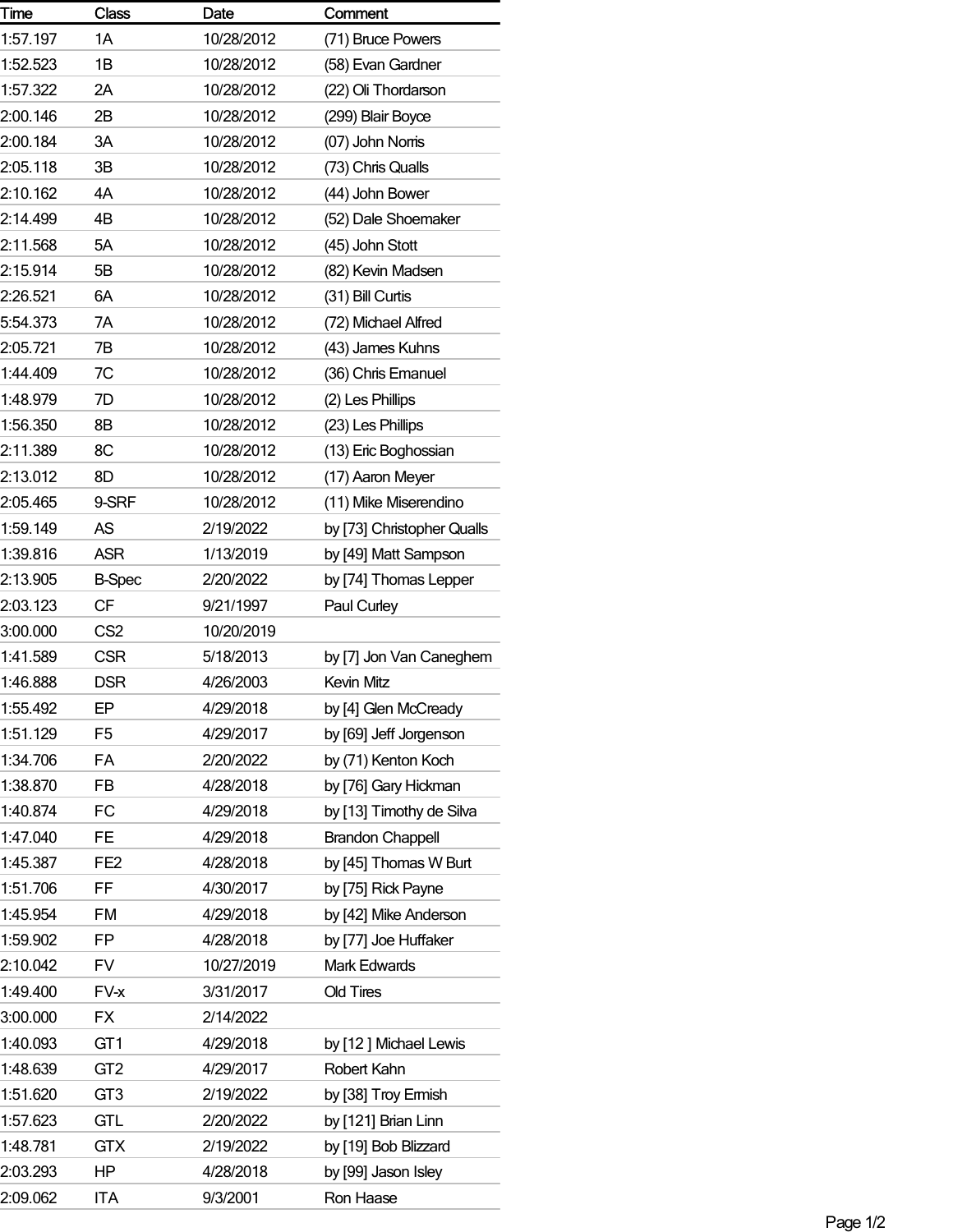| Time     | <b>Class</b>    | Date       | Comment                    |
|----------|-----------------|------------|----------------------------|
| 1:57.197 | 1A              | 10/28/2012 | (71) Bruce Powers          |
| 1:52.523 | 1Β              | 10/28/2012 | (58) Evan Gardner          |
| 1:57.322 | 2A              | 10/28/2012 | (22) Oli Thordarson        |
| 2:00.146 | 2Β              | 10/28/2012 | (299) Blair Boyce          |
| 2:00.184 | ЗΑ              | 10/28/2012 | (07) John Nomis            |
| 2:05.118 | 3B              | 10/28/2012 | (73) Chris Qualls          |
| 2:10.162 | 4A              | 10/28/2012 | (44) John Bower            |
| 2:14.499 | 4B              | 10/28/2012 | (52) Dale Shoemaker        |
| 2:11.568 | 5A              | 10/28/2012 | (45) John Stott            |
| 2:15.914 | 5Β              | 10/28/2012 | (82) Kevin Madsen          |
| 2:26.521 | 6A              | 10/28/2012 | (31) Bill Curtis           |
| 5:54.373 | 7A              | 10/28/2012 | (72) Michael Alfred        |
| 2:05.721 | 7В              | 10/28/2012 | (43) James Kuhns           |
| 1:44.409 | 7C              | 10/28/2012 | (36) Chris Emanuel         |
| 1:48.979 | 7D              | 10/28/2012 | (2) Les Phillips           |
| 1:56.350 | 8B              | 10/28/2012 | (23) Les Phillips          |
| 2:11.389 | 8C              | 10/28/2012 | (13) Eric Boghossian       |
| 2:13.012 | 8D              | 10/28/2012 | (17) Aaron Meyer           |
| 2:05.465 | 9-SRF           | 10/28/2012 | (11) Mike Miserendino      |
| 1:59.149 | AS              | 2/19/2022  | by [73] Christopher Qualls |
| 1:39.816 | ASR             | 1/13/2019  | by [49] Matt Sampson       |
| 2:13.905 | <b>B-Spec</b>   | 2/20/2022  | by [74] Thomas Lepper      |
| 2:03.123 | <b>CF</b>       | 9/21/1997  | Paul Curley                |
| 3:00.000 | CS <sub>2</sub> | 10/20/2019 |                            |
| 1:41.589 | <b>CSR</b>      | 5/18/2013  | by [7] Jon Van Caneghem    |
| 1:46.888 | <b>DSR</b>      | 4/26/2003  | <b>Kevin Mitz</b>          |
| 1:55.492 | EP              | 4/29/2018  | by [4] Glen McCready       |
| 1:51.129 | F <sub>5</sub>  | 4/29/2017  | by [69] Jeff Jorgenson     |
| 1:34.706 | FA              | 2/20/2022  | by (71) Kenton Koch        |
| 1:38.870 | FB              | 4/28/2018  | by [76] Gary Hickman       |
| 1:40.874 | FC              | 4/29/2018  | by [13] Timothy de Silva   |
| 1:47.040 | FE              | 4/29/2018  | <b>Brandon Chappell</b>    |
| 1:45.387 | FE <sub>2</sub> | 4/28/2018  | by [45] Thomas W Burt      |
| 1:51.706 | FF              | 4/30/2017  | by [75] Rick Payne         |
| 1:45.954 | FM              | 4/29/2018  | by [42] Mike Anderson      |
| 1:59.902 | FP              | 4/28/2018  | by [77] Joe Huffaker       |
| 2:10.042 | <b>FV</b>       | 10/27/2019 | Mark Edwards               |
| 1:49.400 | FV-x            | 3/31/2017  | Old Tires                  |
| 3:00.000 | FX              | 2/14/2022  |                            |
| 1:40.093 | GT <sub>1</sub> | 4/29/2018  | by [12] Michael Lewis      |
| 1:48.639 | GT <sub>2</sub> | 4/29/2017  | Robert Kahn                |
| 1:51.620 | GT <sub>3</sub> | 2/19/2022  | by [38] Troy Ermish        |
| 1:57.623 | <b>GTL</b>      | 2/20/2022  | by [121] Brian Linn        |
| 1:48.781 | <b>GTX</b>      | 2/19/2022  | by [19] Bob Blizzard       |
| 2:03.293 | ΗP              | 4/28/2018  | by [99] Jason Isley        |
| 2:09.062 | ITA             | 9/3/2001   | Ron Haase                  |